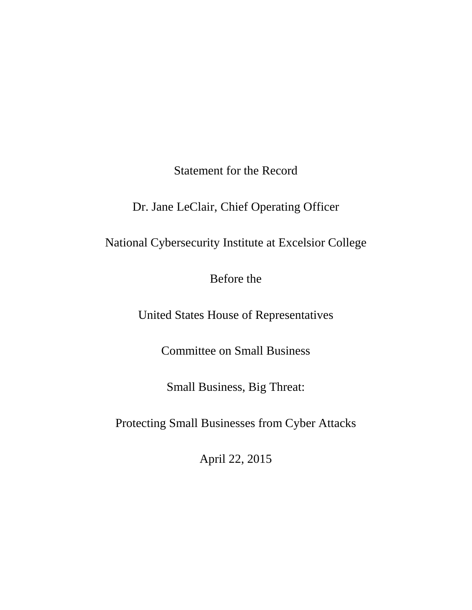Statement for the Record

Dr. Jane LeClair, Chief Operating Officer

National Cybersecurity Institute at Excelsior College

Before the

United States House of Representatives

Committee on Small Business

Small Business, Big Threat:

Protecting Small Businesses from Cyber Attacks

April 22, 2015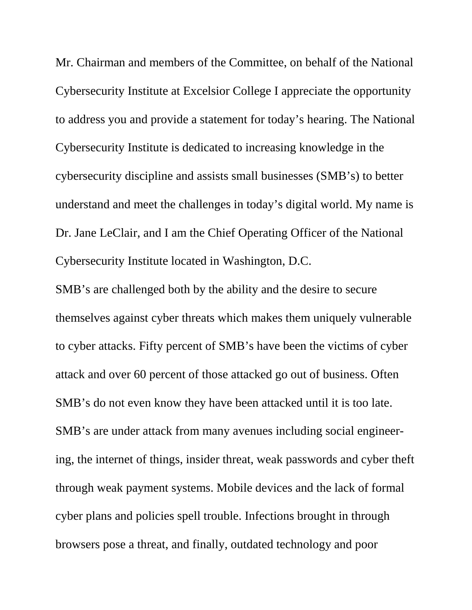Mr. Chairman and members of the Committee, on behalf of the National Cybersecurity Institute at Excelsior College I appreciate the opportunity to address you and provide a statement for today's hearing. The National Cybersecurity Institute is dedicated to increasing knowledge in the cybersecurity discipline and assists small businesses (SMB's) to better understand and meet the challenges in today's digital world. My name is Dr. Jane LeClair, and I am the Chief Operating Officer of the National Cybersecurity Institute located in Washington, D.C.

SMB's are challenged both by the ability and the desire to secure themselves against cyber threats which makes them uniquely vulnerable to cyber attacks. Fifty percent of SMB's have been the victims of cyber attack and over 60 percent of those attacked go out of business. Often SMB's do not even know they have been attacked until it is too late. SMB's are under attack from many avenues including social engineering, the internet of things, insider threat, weak passwords and cyber theft through weak payment systems. Mobile devices and the lack of formal cyber plans and policies spell trouble. Infections brought in through browsers pose a threat, and finally, outdated technology and poor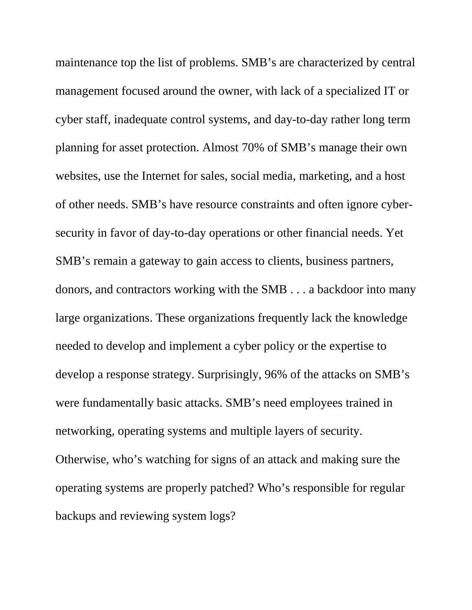maintenance top the list of problems. SMB's are characterized by central management focused around the owner, with lack of a specialized IT or cyber staff, inadequate control systems, and day-to-day rather long term planning for asset protection. Almost 70% of SMB's manage their own websites, use the Internet for sales, social media, marketing, and a host of other needs. SMB's have resource constraints and often ignore cybersecurity in favor of day-to-day operations or other financial needs. Yet SMB's remain a gateway to gain access to clients, business partners, donors, and contractors working with the SMB . . . a backdoor into many large organizations. These organizations frequently lack the knowledge needed to develop and implement a cyber policy or the expertise to develop a response strategy. Surprisingly, 96% of the attacks on SMB's were fundamentally basic attacks. SMB's need employees trained in networking, operating systems and multiple layers of security. Otherwise, who's watching for signs of an attack and making sure the operating systems are properly patched? Who's responsible for regular backups and reviewing system logs?